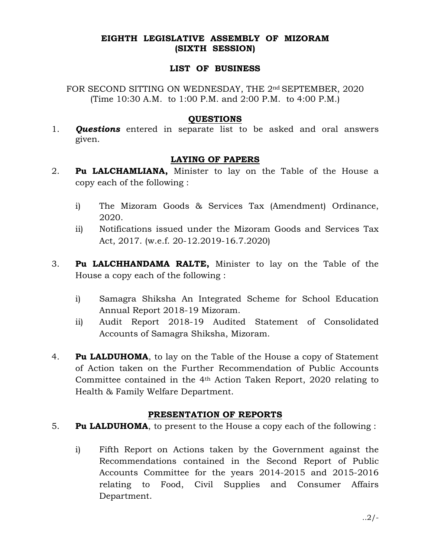## EIGHTH LEGISLATIVE ASSEMBLY OF MIZORAM (SIXTH SESSION)

### LIST OF BUSINESS

FOR SECOND SITTING ON WEDNESDAY, THE 2<sup>nd</sup> SEPTEMBER, 2020 (Time 10:30 A.M. to 1:00 P.M. and 2:00 P.M. to 4:00 P.M.)

### **OUESTIONS**

1. **Questions** entered in separate list to be asked and oral answers given.

# LAYING OF PAPERS

- 2. Pu LALCHAMLIANA, Minister to lay on the Table of the House a copy each of the following :
	- i) The Mizoram Goods & Services Tax (Amendment) Ordinance, 2020.
	- ii) Notifications issued under the Mizoram Goods and Services Tax Act, 2017. (w.e.f. 20-12.2019-16.7.2020)
- 3. Pu LALCHHANDAMA RALTE, Minister to lay on the Table of the House a copy each of the following :
	- i) Samagra Shiksha An Integrated Scheme for School Education Annual Report 2018-19 Mizoram.
	- ii) Audit Report 2018-19 Audited Statement of Consolidated Accounts of Samagra Shiksha, Mizoram.
- 4. Pu LALDUHOMA, to lay on the Table of the House a copy of Statement of Action taken on the Further Recommendation of Public Accounts Committee contained in the 4th Action Taken Report, 2020 relating to Health & Family Welfare Department.

## PRESENTATION OF REPORTS

## 5. **Pu LALDUHOMA**, to present to the House a copy each of the following :

 i) Fifth Report on Actions taken by the Government against the Recommendations contained in the Second Report of Public Accounts Committee for the years 2014-2015 and 2015-2016 relating to Food, Civil Supplies and Consumer Affairs Department.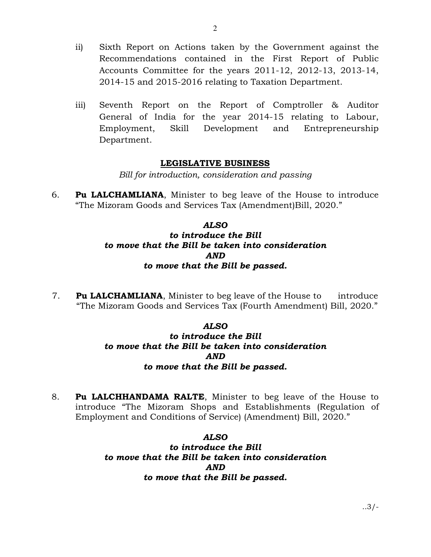- ii) Sixth Report on Actions taken by the Government against the Recommendations contained in the First Report of Public Accounts Committee for the years 2011-12, 2012-13, 2013-14, 2014-15 and 2015-2016 relating to Taxation Department.
- iii) Seventh Report on the Report of Comptroller & Auditor General of India for the year 2014-15 relating to Labour, Employment, Skill Development and Entrepreneurship Department.

#### LEGISLATIVE BUSINESS

Bill for introduction, consideration and passing

6. Pu LALCHAMLIANA, Minister to beg leave of the House to introduce "The Mizoram Goods and Services Tax (Amendment)Bill, 2020."

# ALSO to introduce the Bill to move that the Bill be taken into consideration AND to move that the Bill be passed.

7. Pu LALCHAMLIANA, Minister to beg leave of the House to introduce "The Mizoram Goods and Services Tax (Fourth Amendment) Bill, 2020."

## ALSO

# to introduce the Bill to move that the Bill be taken into consideration AND to move that the Bill be passed.

8. Pu LALCHHANDAMA RALTE, Minister to beg leave of the House to introduce "The Mizoram Shops and Establishments (Regulation of Employment and Conditions of Service) (Amendment) Bill, 2020."

#### ALSO

to introduce the Bill to move that the Bill be taken into consideration AND to move that the Bill be passed.